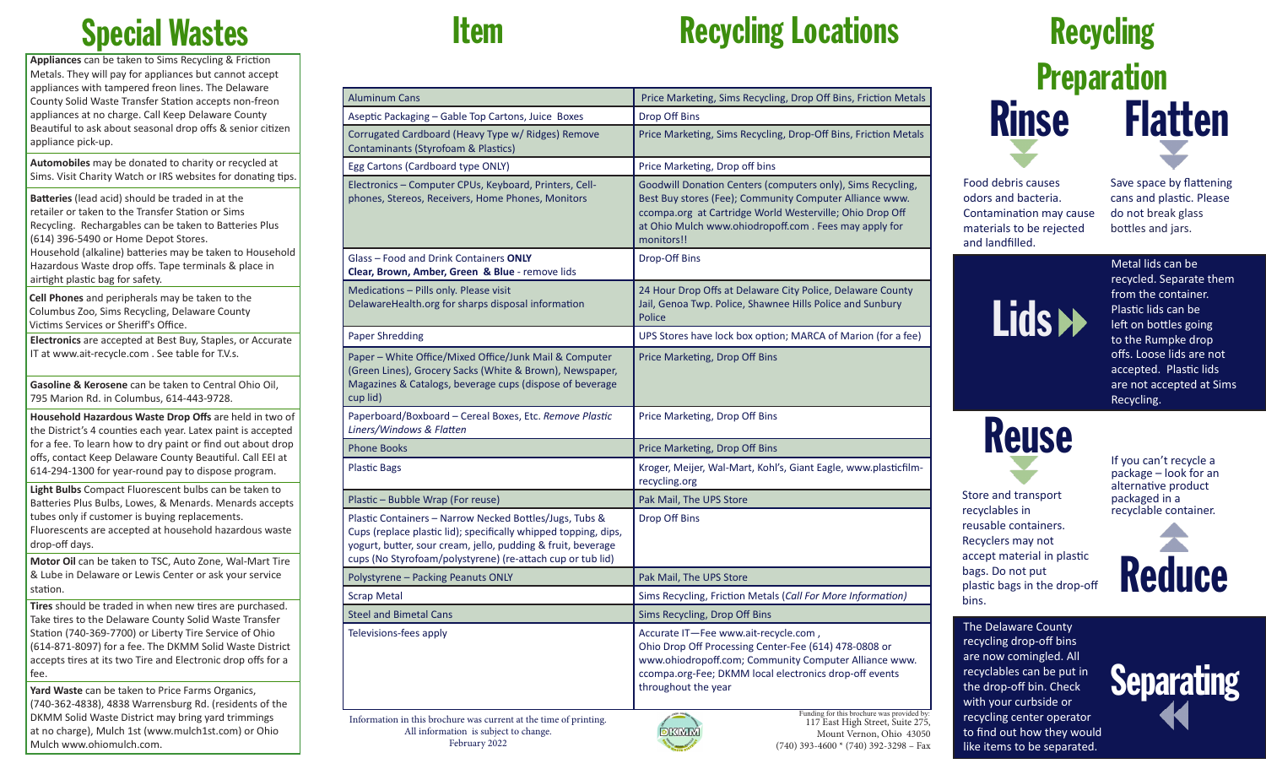### Special Wastes

**Appliances** can be taken to Sims Recycling & Friction Metals. They will pay for appliances but cannot accept appliances with tampered freon lines. The Delaware County Solid Waste Transfer Station accepts non-freon appliances at no charge. Call Keep Delaware County Beautiful to ask about seasonal drop offs & senior citizen appliance pick-up.

**Automobiles** may be donated to charity or recycled at Sims. Visit Charity Watch or IRS websites for donating tips.

**Batteries** (lead acid) should be traded in at the retailer or taken to the Transfer Station or Sims Recycling. Rechargables can be taken to Batteries Plus (614) 396-5490 or Home Depot Stores. Household (alkaline) batteries may be taken to Household Hazardous Waste drop offs. Tape terminals & place in

airtight plastic bag for safety.

**Cell Phones** and peripherals may be taken to the Columbus Zoo, Sims Recycling, Delaware County Victims Services or Sheriff's Office.

**Electronics** are accepted at Best Buy, Staples, or Accurate IT at www.ait-recycle.com . See table for T.V.s.

**Gasoline & Kerosene** can be taken to Central Ohio Oil, 795 Marion Rd. in Columbus, 614-443-9728.

**Household Hazardous Waste Drop Offs** are held in two of the District's 4 counties each year. Latex paint is accepted for a fee. To learn how to dry paint or find out about drop offs, contact Keep Delaware County Beautiful. Call EEI at 614-294-1300 for year-round pay to dispose program.

**Light Bulbs** Compact Fluorescent bulbs can be taken to Batteries Plus Bulbs, Lowes, & Menards. Menards accepts tubes only if customer is buying replacements. Fluorescents are accepted at household hazardous waste drop-off days.

**Motor Oil** can be taken to TSC, Auto Zone, Wal-Mart Tire & Lube in Delaware or Lewis Center or ask your service station.

**Tires** should be traded in when new tires are purchased. Take tires to the Delaware County Solid Waste Transfer Station (740-369-7700) or Liberty Tire Service of Ohio (614-871-8097) for a fee. The DKMM Solid Waste District accepts tires at its two Tire and Electronic drop offs for a fee.

**Yard Waste** can be taken to Price Farms Organics, (740-362-4838), 4838 Warrensburg Rd. (residents of the DKMM Solid Waste District may bring yard trimmings at no charge), Mulch 1st (www.mulch1st.com) or Ohio Mulch www.ohiomulch.com.

February 2022

### **Item Recycling Locations**

| <b>Aluminum Cans</b>                                                                                                                                                                                                                                     | Price Marketing, Sims Recycling, Drop Off Bins, Friction Metals                                                                                                                                                                                           |
|----------------------------------------------------------------------------------------------------------------------------------------------------------------------------------------------------------------------------------------------------------|-----------------------------------------------------------------------------------------------------------------------------------------------------------------------------------------------------------------------------------------------------------|
| Aseptic Packaging - Gable Top Cartons, Juice Boxes                                                                                                                                                                                                       | Drop Off Bins                                                                                                                                                                                                                                             |
| Corrugated Cardboard (Heavy Type w/ Ridges) Remove<br>Contaminants (Styrofoam & Plastics)                                                                                                                                                                | Price Marketing, Sims Recycling, Drop-Off Bins, Friction Metals                                                                                                                                                                                           |
| Egg Cartons (Cardboard type ONLY)                                                                                                                                                                                                                        | Price Marketing, Drop off bins                                                                                                                                                                                                                            |
| Electronics - Computer CPUs, Keyboard, Printers, Cell-<br>phones, Stereos, Receivers, Home Phones, Monitors                                                                                                                                              | Goodwill Donation Centers (computers only), Sims Recycling,<br>Best Buy stores (Fee); Community Computer Alliance www.<br>ccompa.org at Cartridge World Westerville; Ohio Drop Off<br>at Ohio Mulch www.ohiodropoff.com. Fees may apply for<br>monitors!! |
| Glass - Food and Drink Containers ONLY<br>Clear, Brown, Amber, Green & Blue - remove lids                                                                                                                                                                | Drop-Off Bins                                                                                                                                                                                                                                             |
| Medications - Pills only. Please visit<br>DelawareHealth.org for sharps disposal information                                                                                                                                                             | 24 Hour Drop Offs at Delaware City Police, Delaware County<br>Jail, Genoa Twp. Police, Shawnee Hills Police and Sunbury<br><b>Police</b>                                                                                                                  |
| <b>Paper Shredding</b>                                                                                                                                                                                                                                   | UPS Stores have lock box option; MARCA of Marion (for a fee)                                                                                                                                                                                              |
| Paper - White Office/Mixed Office/Junk Mail & Computer<br>(Green Lines), Grocery Sacks (White & Brown), Newspaper,<br>Magazines & Catalogs, beverage cups (dispose of beverage<br>cup lid)                                                               | Price Marketing, Drop Off Bins                                                                                                                                                                                                                            |
| Paperboard/Boxboard - Cereal Boxes, Etc. Remove Plastic<br>Liners/Windows & Flatten                                                                                                                                                                      | Price Marketing, Drop Off Bins                                                                                                                                                                                                                            |
| <b>Phone Books</b>                                                                                                                                                                                                                                       | Price Marketing, Drop Off Bins                                                                                                                                                                                                                            |
| <b>Plastic Bags</b>                                                                                                                                                                                                                                      | Kroger, Meijer, Wal-Mart, Kohl's, Giant Eagle, www.plasticfilm-<br>recycling.org                                                                                                                                                                          |
| Plastic - Bubble Wrap (For reuse)                                                                                                                                                                                                                        | Pak Mail, The UPS Store                                                                                                                                                                                                                                   |
| Plastic Containers - Narrow Necked Bottles/Jugs, Tubs &<br>Cups (replace plastic lid); specifically whipped topping, dips,<br>yogurt, butter, sour cream, jello, pudding & fruit, beverage<br>cups (No Styrofoam/polystyrene) (re-attach cup or tub lid) | Drop Off Bins                                                                                                                                                                                                                                             |
| Polystyrene - Packing Peanuts ONLY                                                                                                                                                                                                                       | Pak Mail, The UPS Store                                                                                                                                                                                                                                   |
| <b>Scrap Metal</b>                                                                                                                                                                                                                                       | Sims Recycling, Friction Metals (Call For More Information)                                                                                                                                                                                               |
| <b>Steel and Bimetal Cans</b>                                                                                                                                                                                                                            | Sims Recycling, Drop Off Bins                                                                                                                                                                                                                             |
| Televisions-fees apply                                                                                                                                                                                                                                   | Accurate IT-Fee www.ait-recycle.com,<br>Ohio Drop Off Processing Center-Fee (614) 478-0808 or<br>www.ohiodropoff.com; Community Computer Alliance www.<br>ccompa.org-Fee; DKMM local electronics drop-off events<br>throughout the year                   |
| Information in this brochure was current at the time of printing.<br>All information is subject to change.                                                                                                                                               | Funding for this brochure was provided by:<br>117 East High Street, Suite 275,<br><b>DKMM</b><br>Mount Vernon, Ohio 43050                                                                                                                                 |

Mount Vernon, Ohio 43050  $(740)$  393-4600  $*(740)$  392-3298 – Fax

### **Recycling Preparation** Flatten Rinse

Food debris causes odors and bacteria. Contamination may cause materials to be rejected and landfilled.

Save space by flattening cans and plastic. Please do not break glass bottles and jars.



recycled. Separate them from the container. Plastic lids can be left on bottles going to the Rumpke drop offs. Loose lids are not accepted. Plastic lids are not accepted at Sims Recycling.

## Reuse

recyclables in reusable containers. Recyclers may not

bags. Do not put

bins.

If you can't recycle a package – look for an alternative product packaged in a recyclable container.

**Reduce** 

The Delaware County recycling drop-off bins are now comingled. All recyclables can be put in the drop-off bin. Check with your curbside or recycling center operator to find out how they would like items to be separated.



Store and transport

accept material in plastic plastic bags in the drop-off